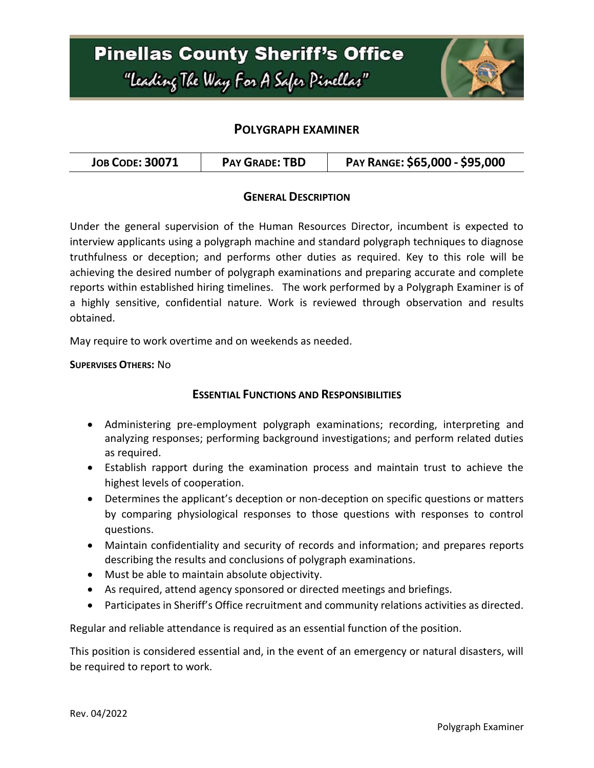

### **POLYGRAPH EXAMINER**

| <b>JOB CODE: 30071</b> | <b>PAY GRADE: TBD</b> | PAY RANGE: \$65,000 - \$95,000 |
|------------------------|-----------------------|--------------------------------|
|------------------------|-----------------------|--------------------------------|

#### **GENERAL DESCRIPTION**

Under the general supervision of the Human Resources Director, incumbent is expected to interview applicants using a polygraph machine and standard polygraph techniques to diagnose truthfulness or deception; and performs other duties as required. Key to this role will be achieving the desired number of polygraph examinations and preparing accurate and complete reports within established hiring timelines. The work performed by a Polygraph Examiner is of a highly sensitive, confidential nature. Work is reviewed through observation and results obtained.

May require to work overtime and on weekends as needed.

**SUPERVISES OTHERS:** No

### **ESSENTIAL FUNCTIONS AND RESPONSIBILITIES**

- Administering pre-employment polygraph examinations; recording, interpreting and analyzing responses; performing background investigations; and perform related duties as required.
- Establish rapport during the examination process and maintain trust to achieve the highest levels of cooperation.
- Determines the applicant's deception or non-deception on specific questions or matters by comparing physiological responses to those questions with responses to control questions.
- Maintain confidentiality and security of records and information; and prepares reports describing the results and conclusions of polygraph examinations.
- Must be able to maintain absolute objectivity.
- As required, attend agency sponsored or directed meetings and briefings.
- Participates in Sheriff's Office recruitment and community relations activities as directed.

Regular and reliable attendance is required as an essential function of the position.

This position is considered essential and, in the event of an emergency or natural disasters, will be required to report to work.